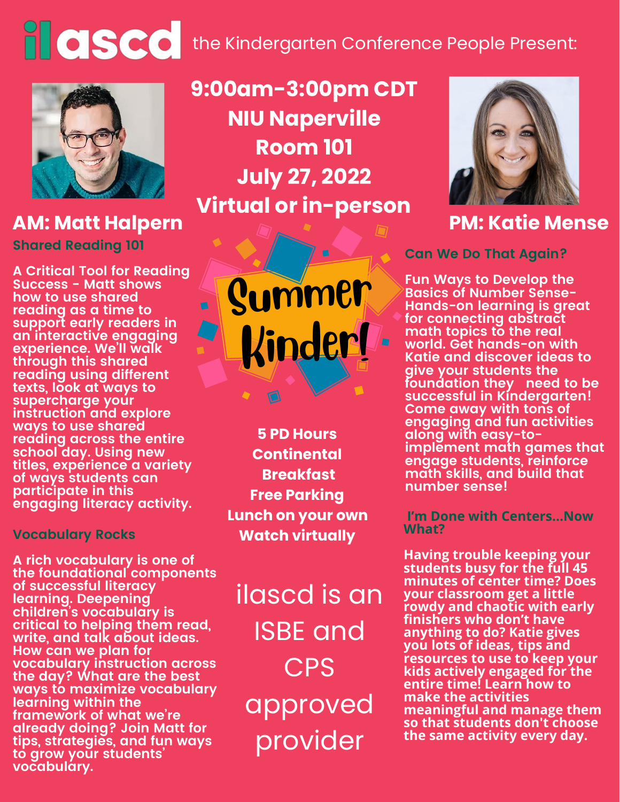## **the Kindergarten Conference People Present:**



**Shared Reading 101 AM: Matt Halpern**

**A Critical Tool for Reading Success - Matt shows how to use shared reading as a time to support early readers in an interactive engaging experience. We'll walk through this shared reading using different texts, look at ways to supercharge your instruction and explore ways to use shared reading across the entire school day. Using new titles, experience a variety of ways students can participate in this engaging literacy activity.**

## **Vocabulary Rocks**

**A rich vocabulary is one of the foundational components of successful literacy learning. Deepening children's vocabulary is critical to helping them read, write, and talk about ideas. How can we plan for vocabulary instruction across the day? What are the best ways to maximize vocabulary learning within the framework of what we're already doing? Join Matt for tips, strategies, and fun ways to grow your students' vocabulary.**

**9:00am-3:00pm CDT NIU Naperville Room 101 July 27, 2022 Virtual or in-person**



**5 PD Hours Continental Breakfast Free Parking Lunch on your own Watch virtually**

ilascd is an ISBE and CPS approved provider



## **PM: Katie Mense**

**Can We Do That Again?**

**Fun Ways to Develop the Basics of Number Sense-Hands-on learning is great for connecting abstract math topics to the real world. Get hands-on with Katie and discover ideas to give your students the foundation they need to be successful in Kindergarten! Come away with tons of engaging and fun activities along with easy-toimplement math games that engage students, reinforce math skills, and build that number sense!**

**I'm Done with Centers...Now What?**

**Having trouble keeping your students busy for the full 45 minutes of center time? Does your classroom get a little rowdy and chaotic with early finishers who don't have anything to do? Katie gives you lots of ideas, tips and resources to use to keep your kids actively engaged for the entire time! Learn how to make the activities meaningful and manage them so that students don't choose the same activity every day.**